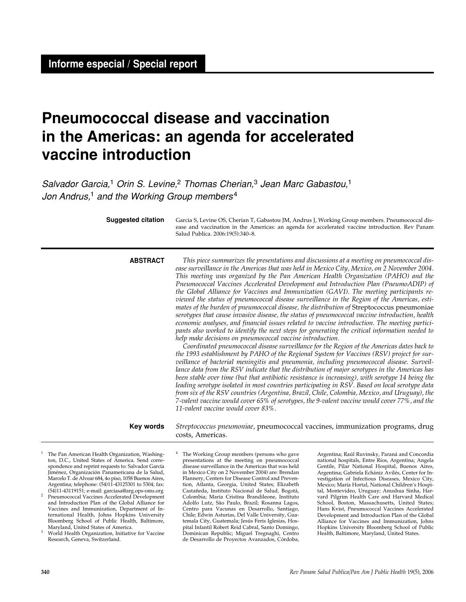# **Pneumococcal disease and vaccination in the Americas: an agenda for accelerated vaccine introduction**

Salvador Garcia,<sup>1</sup> Orin S. Levine,<sup>2</sup> Thomas Cherian,<sup>3</sup> Jean Marc Gabastou,<sup>1</sup> Jon Andrus,<sup>1</sup> and the Working Group members<sup>4</sup>

|                 | <b>Suggested citation</b>                                                                                                                                                                                                                                                                                                                                                        | Garcia S, Levine OS, Cherian T, Gabastou JM, Andrus J, Working Group members. Pneumococcal dis-<br>ease and vaccination in the Americas: an agenda for accelerated vaccine introduction. Rev Panam<br>Salud Publica. 2006:19(5):340-8.                                                                                                                                                                                                                                                                                                                                                                                                                                                                                                                                                                                                                                                                                                                                                                                                                                                                                                                                                                                                                                                                                                                                                                                                                                                                                                                                                                                                                                                                                                                                                                                                                            |                                                                                                                                                                                                                                                                                                                                                                       |  |  |  |  |
|-----------------|----------------------------------------------------------------------------------------------------------------------------------------------------------------------------------------------------------------------------------------------------------------------------------------------------------------------------------------------------------------------------------|-------------------------------------------------------------------------------------------------------------------------------------------------------------------------------------------------------------------------------------------------------------------------------------------------------------------------------------------------------------------------------------------------------------------------------------------------------------------------------------------------------------------------------------------------------------------------------------------------------------------------------------------------------------------------------------------------------------------------------------------------------------------------------------------------------------------------------------------------------------------------------------------------------------------------------------------------------------------------------------------------------------------------------------------------------------------------------------------------------------------------------------------------------------------------------------------------------------------------------------------------------------------------------------------------------------------------------------------------------------------------------------------------------------------------------------------------------------------------------------------------------------------------------------------------------------------------------------------------------------------------------------------------------------------------------------------------------------------------------------------------------------------------------------------------------------------------------------------------------------------|-----------------------------------------------------------------------------------------------------------------------------------------------------------------------------------------------------------------------------------------------------------------------------------------------------------------------------------------------------------------------|--|--|--|--|
| <b>ABSTRACT</b> |                                                                                                                                                                                                                                                                                                                                                                                  | This piece summarizes the presentations and discussions at a meeting on pneumococcal dis-<br>ease surveillance in the Americas that was held in Mexico City, Mexico, on 2 November 2004.<br>This meeting was organized by the Pan American Health Organization (PAHO) and the<br>Pneumococcal Vaccines Accelerated Development and Introduction Plan (PneumoADIP) of<br>the Global Alliance for Vaccines and Immunization (GAVI). The meeting participants re-<br>viewed the status of pneumococcal disease surveillance in the Region of the Americas, esti-<br>mates of the burden of pneumococcal disease, the distribution of Streptococcus pneumoniae<br>serotypes that cause invasive disease, the status of pneumococcal vaccine introduction, health<br>economic analyses, and financial issues related to vaccine introduction. The meeting partici-<br>pants also worked to identify the next steps for generating the critical information needed to<br>help make decisions on pneumococcal vaccine introduction.<br>Coordinated pneumococcal disease surveillance for the Region of the Americas dates back to<br>the 1993 establishment by PAHO of the Regional System for Vaccines (RSV) project for sur-<br>veillance of bacterial meningitis and pneumonia, including pneumococcal disease. Surveil-<br>lance data from the RSV indicate that the distribution of major serotypes in the Americas has<br>been stable over time (but that antibiotic resistance is increasing), with serotype 14 being the<br>leading serotype isolated in most countries participating in RSV. Based on local serotype data<br>from six of the RSV countries (Argentina, Brazil, Chile, Colombia, Mexico, and Uruguay), the<br>7-valent vaccine would cover 65% of serotypes, the 9-valent vaccine would cover 77%, and the<br>11-valent vaccine would cover 83%. |                                                                                                                                                                                                                                                                                                                                                                       |  |  |  |  |
|                 | Key words                                                                                                                                                                                                                                                                                                                                                                        | Streptococcus pneumoniae, pneumococcal vaccines, immunization programs, drug<br>costs, Americas.                                                                                                                                                                                                                                                                                                                                                                                                                                                                                                                                                                                                                                                                                                                                                                                                                                                                                                                                                                                                                                                                                                                                                                                                                                                                                                                                                                                                                                                                                                                                                                                                                                                                                                                                                                  |                                                                                                                                                                                                                                                                                                                                                                       |  |  |  |  |
|                 | The Pan American Health Organization, Washing-<br>ton, D.C., United States of America. Send corre-<br>spondence and reprint requests to: Salvador García<br>Jiménez, Organización Panamericana de la Salud,<br>Marcelo T. de Alvear 684, 40 piso, 1058 Buenos Aires,<br>Argentina; telephone: (54)11-43125301 to 5304; fax:<br>(54)11-43119151; e-mail: garciasa@arg.ops-oms.org | 4<br>The Working Group members (persons who gave<br>presentations at the meeting on pneumococcal<br>disease surveillance in the Americas that was held<br>in Mexico City on 2 November 2004) are: Brendan<br>Flannery, Centers for Disease Control and Preven-<br>tion, Atlanta, Georgia, United States; Elizabeth<br>Castañeda. Instituto Nacional de Salud. Bogotá.                                                                                                                                                                                                                                                                                                                                                                                                                                                                                                                                                                                                                                                                                                                                                                                                                                                                                                                                                                                                                                                                                                                                                                                                                                                                                                                                                                                                                                                                                             | Argentina; Raúl Ruvinsky, Paraná and Concordia<br>national hospitals, Entre Ríos, Argentina; Angela<br>Gentile, Pilar National Hospital, Buenos Aires,<br>Argentina; Gabriela Echániz Avilés, Center for In-<br>vestigation of Infectious Diseases, Mexico City,<br>Mexico; María Hortal, National Children's Hospi-<br>tal. Montevideo. Uruguay: Anushua Sinha. Har- |  |  |  |  |

- Pneumococcal Vaccines Accelerated Development and Introduction Plan of the Global Alliance for Vaccines and Immunization, Department of International Health, Johns Hopkins University Bloomberg School of Public Health, Baltimore,
- Maryland, United States of America. 3 World Health Organization, Initiative for Vaccine Research, Geneva, Switzerland.
- Castañeda, Instituto Nacional de Salud, Bogotá, Colombia; Maria Cristina Brandileone, Instituto Adolfo Lutz, São Paulo, Brazil; Rosanna Lagos, Centro para Vacunas en Desarrollo, Santiago, Chile; Edwin Asturias, Del Valle University, Guatemala City, Guatemala; Jesús Feris Iglesias, Hospital Infantil Robert Reid Cabral, Santo Domingo, Dominican Republic; Miguel Tregnaghi, Centro de Desarrollo de Proyectos Avanzados, Córdoba,

tal, Montevideo, Uruguay; Anushua Sinha, Harvard Pilgrim Health Care and Harvard Medical School, Boston, Massachusetts, United States; Hans Kvist, Pneumococcal Vaccines Accelerated Development and Introduction Plan of the Global Alliance for Vaccines and Immunization, Johns Hopkins University Bloomberg School of Public Health, Baltimore, Maryland, United States.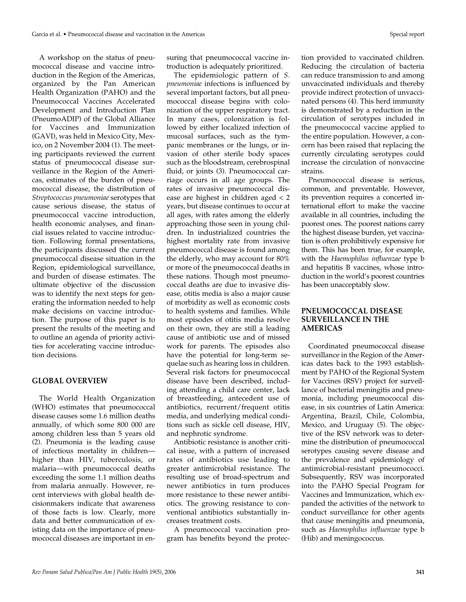A workshop on the status of pneumococcal disease and vaccine introduction in the Region of the Americas, organized by the Pan American Health Organization (PAHO) and the Pneumococcal Vaccines Accelerated Development and Introduction Plan (PneumoADIP) of the Global Alliance for Vaccines and Immunization (GAVI), was held in Mexico City, Mexico, on 2 November 2004 (1). The meeting participants reviewed the current status of pneumococcal disease surveillance in the Region of the Americas, estimates of the burden of pneumococcal disease, the distribution of *Streptococcus pneumoniae* serotypes that cause serious disease, the status of pneumococcal vaccine introduction, health economic analyses, and financial issues related to vaccine introduction. Following formal presentations, the participants discussed the current pneumococcal disease situation in the Region, epidemiological surveillance, and burden of disease estimates. The ultimate objective of the discussion was to identify the next steps for generating the information needed to help make decisions on vaccine introduction. The purpose of this paper is to present the results of the meeting and to outline an agenda of priority activities for accelerating vaccine introduction decisions.

#### **GLOBAL OVERVIEW**

The World Health Organization (WHO) estimates that pneumococcal disease causes some 1.6 million deaths annually, of which some 800 000 are among children less than 5 years old (2). Pneumonia is the leading cause of infectious mortality in children higher than HIV, tuberculosis, or malaria—with pneumococcal deaths exceeding the some 1.1 million deaths from malaria annually. However, recent interviews with global health decisionmakers indicate that awareness of those facts is low. Clearly, more data and better communication of existing data on the importance of pneumococcal diseases are important in ensuring that pneumococcal vaccine introduction is adequately prioritized.

The epidemiologic pattern of *S. pneumoniae* infections is influenced by several important factors, but all pneumococcal disease begins with colonization of the upper respiratory tract. In many cases, colonization is followed by either localized infection of mucosal surfaces, such as the tympanic membranes or the lungs, or invasion of other sterile body spaces such as the bloodstream, cerebrospinal fluid, or joints (3). Pneumococcal carriage occurs in all age groups. The rates of invasive pneumococcal disease are highest in children aged < 2 years, but disease continues to occur at all ages, with rates among the elderly approaching those seen in young children. In industrialized countries the highest mortality rate from invasive pneumococcal disease is found among the elderly, who may account for 80% or more of the pneumococcal deaths in these nations. Though most pneumococcal deaths are due to invasive disease, otitis media is also a major cause of morbidity as well as economic costs to health systems and families. While most episodes of otitis media resolve on their own, they are still a leading cause of antibiotic use and of missed work for parents. The episodes also have the potential for long-term sequelae such as hearing loss in children. Several risk factors for pneumococcal disease have been described, including attending a child care center, lack of breastfeeding, antecedent use of antibiotics, recurrent/frequent otitis media, and underlying medical conditions such as sickle cell disease, HIV, and nephrotic syndrome.

Antibiotic resistance is another critical issue, with a pattern of increased rates of antibiotics use leading to greater antimicrobial resistance. The resulting use of broad-spectrum and newer antibiotics in turn produces more resistance to these newer antibiotics. The growing resistance to conventional antibiotics substantially increases treatment costs.

A pneumococcal vaccination program has benefits beyond the protec-

tion provided to vaccinated children. Reducing the circulation of bacteria can reduce transmission to and among unvaccinated individuals and thereby provide indirect protection of unvaccinated persons (4). This herd immunity is demonstrated by a reduction in the circulation of serotypes included in the pneumococcal vaccine applied to the entire population. However, a concern has been raised that replacing the currently circulating serotypes could increase the circulation of nonvaccine strains.

Pneumococcal disease is serious, common, and preventable. However, its prevention requires a concerted international effort to make the vaccine available in all countries, including the poorest ones. The poorest nations carry the highest disease burden, yet vaccination is often prohibitively expensive for them. This has been true, for example, with the *Haemophilus influenzae* type b and hepatitis B vaccines, whose introduction in the world's poorest countries has been unacceptably slow.

## **PNEUMOCOCCAL DISEASE SURVEILLANCE IN THE AMERICAS**

Coordinated pneumococcal disease surveillance in the Region of the Americas dates back to the 1993 establishment by PAHO of the Regional System for Vaccines (RSV) project for surveillance of bacterial meningitis and pneumonia, including pneumococcal disease, in six countries of Latin America: Argentina, Brazil, Chile, Colombia, Mexico, and Uruguay (5). The objective of the RSV network was to determine the distribution of pneumococcal serotypes causing severe disease and the prevalence and epidemiology of antimicrobial-resistant pneumococci. Subsequently, RSV was incorporated into the PAHO Special Program for Vaccines and Immunization, which expanded the activities of the network to conduct surveillance for other agents that cause meningitis and pneumonia, such as *Haemophilus influenzae* type b (Hib) and meningococcus.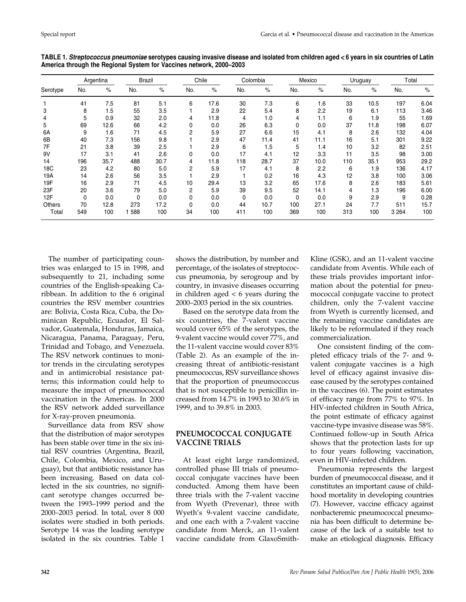|               | Argentina |      | <b>Brazil</b> |      |     | Chile |     | Colombia |              | Mexico |     | Uruguay |         | Total |  |
|---------------|-----------|------|---------------|------|-----|-------|-----|----------|--------------|--------|-----|---------|---------|-------|--|
| Serotype      | No.       | $\%$ | No.           | $\%$ | No. | $\%$  | No. | $\%$     | No.          | $\%$   | No. | $\%$    | No.     | $\%$  |  |
|               | 41        | 7.5  | 81            | 5.1  | 6   | 17.6  | 30  | 7.3      | 6            | 1.6    | 33  | 10.5    | 197     | 6.04  |  |
| 3             | 8         | 1.5  | 55            | 3.5  |     | 2.9   | 22  | 5.4      | 8            | 2.2    | 19  | 6.1     | 113     | 3.46  |  |
| 4             | 5         | 0.9  | 32            | 2.0  | 4   | 11.8  | 4   | 1.0      | 4            | 1.1    | 6   | 1.9     | 55      | 1.69  |  |
| 5             | 69        | 12.6 | 66            | 4.2  | 0   | 0.0   | 26  | 6.3      | 0            | 0.0    | 37  | 11.8    | 198     | 6.07  |  |
| 6A            | 9         | 1.6  | 71            | 4.5  | 2   | 5.9   | 27  | 6.6      | 15           | 4.1    | 8   | 2.6     | 132     | 4.04  |  |
| 6B            | 40        | 7.3  | 156           | 9.8  |     | 2.9   | 47  | 11.4     | 41           | 11.1   | 16  | 5.1     | 301     | 9.22  |  |
| 7F            | 21        | 3.8  | 39            | 2.5  |     | 2.9   | 6   | 1.5      | 5            | 1.4    | 10  | 3.2     | 82      | 2.51  |  |
| 9V            | 17        | 3.1  | 41            | 2.6  | 0   | 0.0   | 17  | 4.1      | 12           | 3.3    | 11  | 3.5     | 98      | 3.00  |  |
| 14            | 196       | 35.7 | 488           | 30.7 | 4   | 11.8  | 118 | 28.7     | 37           | 10.0   | 110 | 35.1    | 953     | 29.2  |  |
| 18C           | 23        | 4.2  | 80            | 5.0  | 2   | 5.9   | 17  | 4.1      | 8            | 2.2    | 6   | 1.9     | 136     | 4.17  |  |
| 19A           | 14        | 2.6  | 56            | 3.5  |     | 2.9   |     | 0.2      | 16           | 4.3    | 12  | 3.8     | 100     | 3.06  |  |
| 19F           | 16        | 2.9  | 71            | 4.5  | 10  | 29.4  | 13  | 3.2      | 65           | 17.6   | 8   | 2.6     | 183     | 5.61  |  |
| 23F           | 20        | 3.6  | 79            | 5.0  | 2   | 5.9   | 39  | 9.5      | 52           | 14.1   | 4   | 1.3     | 196     | 6.00  |  |
| 12F           | 0         | 0.0  | 0             | 0.0  | 0   | 0.0   | 0   | 0.0      | $\mathbf{0}$ | 0.0    | 9   | 2.9     | 9       | 0.28  |  |
| <b>Others</b> | 70        | 12.8 | 273           | 17.2 | 0   | 0.0   | 44  | 10.7     | 100          | 27.1   | 24  | 7.7     | 511     | 15.7  |  |
| Total         | 549       | 100  | 588           | 100  | 34  | 100   | 411 | 100      | 369          | 100    | 313 | 100     | 3 2 6 4 | 100   |  |

**TABLE 1. Streptococcus pneumoniae serotypes causing invasive disease and isolated from children aged** < **6 years in six countries of Latin America through the Regional System for Vaccines network, 2000–2003** 

The number of participating countries was enlarged to 15 in 1998, and subsequently to 21, including some countries of the English-speaking Caribbean. In addition to the 6 original countries the RSV member countries are: Bolivia, Costa Rica, Cuba, the Dominican Republic, Ecuador, El Salvador, Guatemala, Honduras, Jamaica, Nicaragua, Panama, Paraguay, Peru, Trinidad and Tobago, and Venezuela. The RSV network continues to monitor trends in the circulating serotypes and in antimicrobial resistance patterns; this information could help to measure the impact of pneumococcal vaccination in the Americas. In 2000 the RSV network added surveillance for X-ray-proven pneumonia.

Surveillance data from RSV show that the distribution of major serotypes has been stable over time in the six initial RSV countries (Argentina, Brazil, Chile, Colombia, Mexico, and Uruguay), but that antibiotic resistance has been increasing. Based on data collected in the six countries, no significant serotype changes occurred between the 1993–1999 period and the 2000–2003 period. In total, over 8 000 isolates were studied in both periods. Serotype 14 was the leading serotype isolated in the six countries. Table 1

shows the distribution, by number and percentage, of the isolates of streptococcus pneumonia, by serogroup and by country, in invasive diseases occurring in children aged < 6 years during the 2000–2003 period in the six countries.

Based on the serotype data from the six countries, the 7-valent vaccine would cover 65% of the serotypes, the 9-valent vaccine would cover 77%, and the 11-valent vaccine would cover 83% (Table 2). As an example of the increasing threat of antibiotic-resistant pneumococcus, RSV surveillance shows that the proportion of pneumococcus that is not susceptible to penicillin increased from 14.7% in 1993 to 30.6% in 1999, and to 39.8% in 2003.

# **PNEUMOCOCCAL CONJUGATE VACCINE TRIALS**

At least eight large randomized, controlled phase III trials of pneumococcal conjugate vaccines have been conducted. Among them have been three trials with the 7-valent vaccine from Wyeth (Prevenar), three with Wyeth's 9-valent vaccine candidate, and one each with a 7-valent vaccine candidate from Merck, an 11-valent vaccine candidate from GlaxoSmithKline (GSK), and an 11-valent vaccine candidate from Aventis. While each of these trials provides important information about the potential for pneumococcal conjugate vaccine to protect children, only the 7-valent vaccine from Wyeth is currently licensed, and the remaining vaccine candidates are likely to be reformulated if they reach commercialization.

One consistent finding of the completed efficacy trials of the 7- and 9 valent conjugate vaccines is a high level of efficacy against invasive disease caused by the serotypes contained in the vaccines (6). The point estimates of efficacy range from 77% to 97%. In HIV-infected children in South Africa, the point estimate of efficacy against vaccine-type invasive disease was 58%. Continued follow-up in South Africa shows that the protection lasts for up to four years following vaccination, even in HIV-infected children.

Pneumonia represents the largest burden of pneumococcal disease, and it constitutes an important cause of childhood mortality in developing countries (7). However, vaccine efficacy against nonbacteremic pneumococcal pneumonia has been difficult to determine because of the lack of a suitable test to make an etiological diagnosis. Efficacy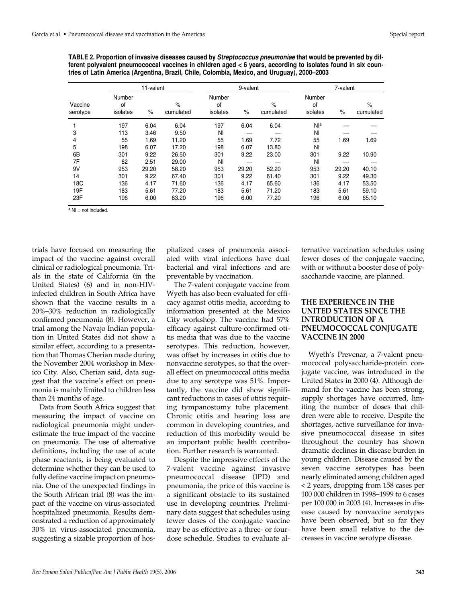| TABLE 2. Proportion of invasive diseases caused by <i>Streptococcus pneumoniae</i> that would be prevented by dif- |
|--------------------------------------------------------------------------------------------------------------------|
| ferent polyvalent pneumococcal vaccines in children aged < 6 years, according to isolates found in six coun-       |
| tries of Latin America (Argentina, Brazil, Chile, Colombia, Mexico, and Uruguay), 2000–2003                        |

|                     | 11-valent                |       |                   |                          | 9-valent |                   |                          | 7-valent |                   |  |  |
|---------------------|--------------------------|-------|-------------------|--------------------------|----------|-------------------|--------------------------|----------|-------------------|--|--|
| Vaccine<br>serotype | Number<br>of<br>isolates | $\%$  | $\%$<br>cumulated | Number<br>of<br>isolates | %        | $\%$<br>cumulated | Number<br>0f<br>isolates | $\%$     | $\%$<br>cumulated |  |  |
|                     | 197                      | 6.04  | 6.04              | 197                      | 6.04     | 6.04              | N <sub>la</sub>          |          |                   |  |  |
| 3                   | 113                      | 3.46  | 9.50              | <b>NI</b>                |          |                   | NI                       |          |                   |  |  |
| 4                   | 55                       | 1.69  | 11.20             | 55                       | 1.69     | 7.72              | 55                       | 1.69     | 1.69              |  |  |
| 5                   | 198                      | 6.07  | 17.20             | 198                      | 6.07     | 13.80             | NI                       |          |                   |  |  |
| 6B                  | 301                      | 9.22  | 26.50             | 301                      | 9.22     | 23.00             | 301                      | 9.22     | 10.90             |  |  |
| 7F                  | 82                       | 2.51  | 29.00             | <b>NI</b>                |          |                   | NI                       |          |                   |  |  |
| 9V                  | 953                      | 29.20 | 58.20             | 953                      | 29.20    | 52.20             | 953                      | 29.20    | 40.10             |  |  |
| 14                  | 301                      | 9.22  | 67.40             | 301                      | 9.22     | 61.40             | 301                      | 9.22     | 49.30             |  |  |
| 18C                 | 136                      | 4.17  | 71.60             | 136                      | 4.17     | 65.60             | 136                      | 4.17     | 53.50             |  |  |
| 19F                 | 183                      | 5.61  | 77.20             | 183                      | 5.61     | 71.20             | 183                      | 5.61     | 59.10             |  |  |
| 23F                 | 196                      | 6.00  | 83.20             | 196                      | 6.00     | 77.20             | 196                      | 6.00     | 65.10             |  |  |

a NI = not included.

trials have focused on measuring the impact of the vaccine against overall clinical or radiological pneumonia. Trials in the state of California (in the United States) (6) and in non-HIVinfected children in South Africa have shown that the vaccine results in a 20%–30% reduction in radiologically confirmed pneumonia (8). However, a trial among the Navajo Indian population in United States did not show a similar effect, according to a presentation that Thomas Cherian made during the November 2004 workshop in Mexico City. Also, Cherian said, data suggest that the vaccine's effect on pneumonia is mainly limited to children less than 24 months of age.

Data from South Africa suggest that measuring the impact of vaccine on radiological pneumonia might underestimate the true impact of the vaccine on pneumonia. The use of alternative definitions, including the use of acute phase reactants, is being evaluated to determine whether they can be used to fully define vaccine impact on pneumonia. One of the unexpected findings in the South African trial (8) was the impact of the vaccine on virus-associated hospitalized pneumonia. Results demonstrated a reduction of approximately 30% in virus-associated pneumonia, suggesting a sizable proportion of hos-

pitalized cases of pneumonia associated with viral infections have dual bacterial and viral infections and are preventable by vaccination.

The 7-valent conjugate vaccine from Wyeth has also been evaluated for efficacy against otitis media, according to information presented at the Mexico City workshop. The vaccine had 57% efficacy against culture-confirmed otitis media that was due to the vaccine serotypes. This reduction, however, was offset by increases in otitis due to nonvaccine serotypes, so that the overall effect on pneumococcal otitis media due to any serotype was 51%. Importantly, the vaccine did show significant reductions in cases of otitis requiring tympanostomy tube placement. Chronic otitis and hearing loss are common in developing countries, and reduction of this morbidity would be an important public health contribution. Further research is warranted.

Despite the impressive effects of the 7-valent vaccine against invasive pneumococcal disease (IPD) and pneumonia, the price of this vaccine is a significant obstacle to its sustained use in developing countries. Preliminary data suggest that schedules using fewer doses of the conjugate vaccine may be as effective as a three- or fourdose schedule. Studies to evaluate alternative vaccination schedules using fewer doses of the conjugate vaccine, with or without a booster dose of polysaccharide vaccine, are planned.

# **THE EXPERIENCE IN THE UNITED STATES SINCE THE INTRODUCTION OF A PNEUMOCOCCAL CONJUGATE VACCINE IN 2000**

Wyeth's Prevenar, a 7-valent pneumococcal polysaccharide-protein conjugate vaccine, was introduced in the United States in 2000 (4). Although demand for the vaccine has been strong, supply shortages have occurred, limiting the number of doses that children were able to receive. Despite the shortages, active surveillance for invasive pneumococcal disease in sites throughout the country has shown dramatic declines in disease burden in young children. Disease caused by the seven vaccine serotypes has been nearly eliminated among children aged < 2 years, dropping from 158 cases per 100 000 children in 1998–1999 to 6 cases per 100 000 in 2003 (4). Increases in disease caused by nonvaccine serotypes have been observed, but so far they have been small relative to the decreases in vaccine serotype disease.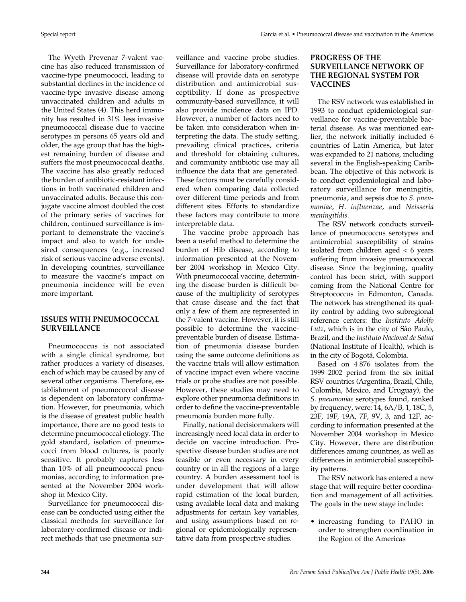The Wyeth Prevenar 7-valent vaccine has also reduced transmission of vaccine-type pneumococci, leading to substantial declines in the incidence of vaccine-type invasive disease among unvaccinated children and adults in the United States (4). This herd immunity has resulted in 31% less invasive pneumococcal disease due to vaccine serotypes in persons 65 years old and older, the age group that has the highest remaining burden of disease and suffers the most pneumococcal deaths. The vaccine has also greatly reduced the burden of antibiotic-resistant infections in both vaccinated children and unvaccinated adults. Because this conjugate vaccine almost doubled the cost of the primary series of vaccines for children, continued surveillance is important to demonstrate the vaccine's impact and also to watch for undesired consequences (e.g., increased risk of serious vaccine adverse events). In developing countries, surveillance to measure the vaccine's impact on pneumonia incidence will be even more important.

# **ISSUES WITH PNEUMOCOCCAL SURVEILLANCE**

Pneumococcus is not associated with a single clinical syndrome, but rather produces a variety of diseases, each of which may be caused by any of several other organisms. Therefore, establishment of pneumococcal disease is dependent on laboratory confirmation. However, for pneumonia, which is the disease of greatest public health importance, there are no good tests to determine pneumococcal etiology. The gold standard, isolation of pneumococci from blood cultures, is poorly sensitive. It probably captures less than 10% of all pneumococcal pneumonias, according to information presented at the November 2004 workshop in Mexico City.

Surveillance for pneumococcal disease can be conducted using either the classical methods for surveillance for laboratory-confirmed disease or indirect methods that use pneumonia surveillance and vaccine probe studies. Surveillance for laboratory-confirmed disease will provide data on serotype distribution and antimicrobial susceptibility. If done as prospective community-based surveillance, it will also provide incidence data on IPD. However, a number of factors need to be taken into consideration when interpreting the data. The study setting, prevailing clinical practices, criteria and threshold for obtaining cultures, and community antibiotic use may all influence the data that are generated. These factors must be carefully considered when comparing data collected over different time periods and from different sites. Efforts to standardize these factors may contribute to more interpretable data.

The vaccine probe approach has been a useful method to determine the burden of Hib disease, according to information presented at the November 2004 workshop in Mexico City. With pneumococcal vaccine, determining the disease burden is difficult because of the multiplicity of serotypes that cause disease and the fact that only a few of them are represented in the 7-valent vaccine. However, it is still possible to determine the vaccinepreventable burden of disease. Estimation of pneumonia disease burden using the same outcome definitions as the vaccine trials will allow estimation of vaccine impact even where vaccine trials or probe studies are not possible. However, these studies may need to explore other pneumonia definitions in order to define the vaccine-preventable pneumonia burden more fully.

Finally, national decisionmakers will increasingly need local data in order to decide on vaccine introduction. Prospective disease burden studies are not feasible or even necessary in every country or in all the regions of a large country. A burden assessment tool is under development that will allow rapid estimation of the local burden, using available local data and making adjustments for certain key variables, and using assumptions based on regional or epidemiologically representative data from prospective studies.

# **PROGRESS OF THE SURVEILLANCE NETWORK OF THE REGIONAL SYSTEM FOR VACCINES**

The RSV network was established in 1993 to conduct epidemiological surveillance for vaccine-preventable bacterial disease. As was mentioned earlier, the network initially included 6 countries of Latin America, but later was expanded to 21 nations, including several in the English-speaking Caribbean. The objective of this network is to conduct epidemiological and laboratory surveillance for meningitis, pneumonia, and sepsis due to *S. pneumoniae*, *H. influenzae*, and *Neisseria meningitidis.*

The RSV network conducts surveillance of pneumococcus serotypes and antimicrobial susceptibility of strains isolated from children aged < 6 years suffering from invasive pneumococcal disease. Since the beginning, quality control has been strict, with support coming from the National Centre for Streptococcus in Edmonton, Canada. The network has strengthened its quality control by adding two subregional reference centers: the *Instituto Adolfo Lutz*, which is in the city of São Paulo, Brazil, and the *Instituto Nacional de Salud* (National Institute of Health), which is in the city of Bogotá, Colombia.

Based on 4 876 isolates from the 1999–2002 period from the six initial RSV countries (Argentina, Brazil, Chile, Colombia, Mexico, and Uruguay), the *S. pneumoniae* serotypes found, ranked by frequency, were: 14, 6A/B*,* 1, 18C, 5, 23F, 19F, 19A, 7F, 9V, 3, and 12F, according to information presented at the November 2004 workshop in Mexico City. However, there are distribution differences among countries, as well as differences in antimicrobial susceptibility patterns.

The RSV network has entered a new stage that will require better coordination and management of all activities. The goals in the new stage include:

• increasing funding to PAHO in order to strengthen coordination in the Region of the Americas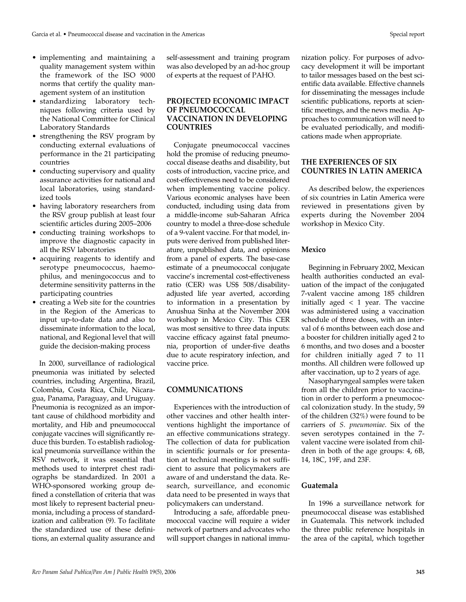- implementing and maintaining a quality management system within the framework of the ISO 9000 norms that certify the quality management system of an institution
- standardizing laboratory techniques following criteria used by the National Committee for Clinical Laboratory Standards
- strengthening the RSV program by conducting external evaluations of performance in the 21 participating countries
- conducting supervisory and quality assurance activities for national and local laboratories, using standardized tools
- having laboratory researchers from the RSV group publish at least four scientific articles during 2005–2006
- conducting training workshops to improve the diagnostic capacity in all the RSV laboratories
- acquiring reagents to identify and serotype pneumococcus, haemophilus, and meningococcus and to determine sensitivity patterns in the participating countries
- creating a Web site for the countries in the Region of the Americas to input up-to-date data and also to disseminate information to the local, national, and Regional level that will guide the decision-making process

In 2000, surveillance of radiological pneumonia was initiated by selected countries, including Argentina, Brazil, Colombia, Costa Rica, Chile, Nicaragua, Panama, Paraguay, and Uruguay. Pneumonia is recognized as an important cause of childhood morbidity and mortality, and Hib and pneumococcal conjugate vaccines will significantly reduce this burden. To establish radiological pneumonia surveillance within the RSV network, it was essential that methods used to interpret chest radiographs be standardized. In 2001 a WHO-sponsored working group defined a constellation of criteria that was most likely to represent bacterial pneumonia, including a process of standardization and calibration (9). To facilitate the standardized use of these definitions, an external quality assurance and

self-assessment and training program was also developed by an ad-hoc group of experts at the request of PAHO.

# **PROJECTED ECONOMIC IMPACT OF PNEUMOCOCCAL VACCINATION IN DEVELOPING COUNTRIES**

Conjugate pneumococcal vaccines hold the promise of reducing pneumococcal disease deaths and disability, but costs of introduction, vaccine price, and cost-effectiveness need to be considered when implementing vaccine policy. Various economic analyses have been conducted, including using data from a middle-income sub-Saharan Africa country to model a three-dose schedule of a 9-valent vaccine. For that model, inputs were derived from published literature, unpublished data, and opinions from a panel of experts. The base-case estimate of a pneumococcal conjugate vaccine's incremental cost-effectiveness ratio (CER) was US\$ 508/disabilityadjusted life year averted, according to information in a presentation by Anushua Sinha at the November 2004 workshop in Mexico City. This CER was most sensitive to three data inputs: vaccine efficacy against fatal pneumonia, proportion of under-five deaths due to acute respiratory infection, and vaccine price.

# **COMMUNICATIONS**

Experiences with the introduction of other vaccines and other health interventions highlight the importance of an effective communications strategy. The collection of data for publication in scientific journals or for presentation at technical meetings is not sufficient to assure that policymakers are aware of and understand the data. Research, surveillance, and economic data need to be presented in ways that policymakers can understand.

Introducing a safe, affordable pneumococcal vaccine will require a wider network of partners and advocates who will support changes in national immunization policy. For purposes of advocacy development it will be important to tailor messages based on the best scientific data available. Effective channels for disseminating the messages include scientific publications, reports at scientific meetings, and the news media. Approaches to communication will need to be evaluated periodically, and modifications made when appropriate.

# **THE EXPERIENCES OF SIX COUNTRIES IN LATIN AMERICA**

As described below, the experiences of six countries in Latin America were reviewed in presentations given by experts during the November 2004 workshop in Mexico City.

## **Mexico**

Beginning in February 2002, Mexican health authorities conducted an evaluation of the impact of the conjugated 7-valent vaccine among 185 children initially aged < 1 year. The vaccine was administered using a vaccination schedule of three doses, with an interval of 6 months between each dose and a booster for children initially aged 2 to 6 months, and two doses and a booster for children initially aged 7 to 11 months. All children were followed up after vaccination, up to 2 years of age.

Nasopharyngeal samples were taken from all the children prior to vaccination in order to perform a pneumococcal colonization study. In the study, 59 of the children (32%) were found to be carriers of *S. pneumoniae*. Six of the seven serotypes contained in the 7 valent vaccine were isolated from children in both of the age groups: 4, 6B, 14, 18C, 19F, and 23F.

# **Guatemala**

In 1996 a surveillance network for pneumococcal disease was established in Guatemala. This network included the three public reference hospitals in the area of the capital, which together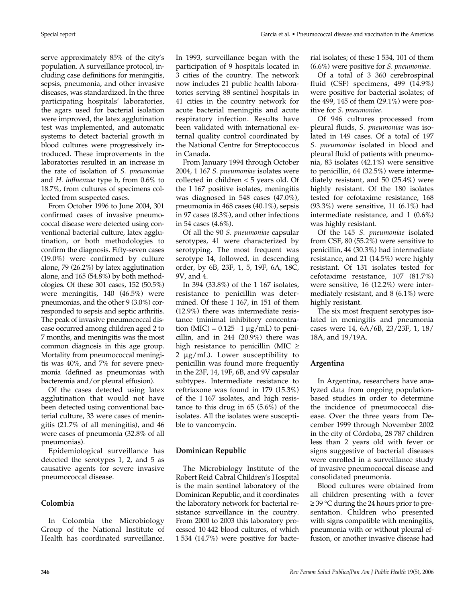serve approximately 85% of the city's population. A surveillance protocol, including case definitions for meningitis, sepsis, pneumonia, and other invasive diseases, was standardized. In the three participating hospitals' laboratories, the agars used for bacterial isolation were improved, the latex agglutination test was implemented, and automatic systems to detect bacterial growth in blood cultures were progressively introduced. These improvements in the laboratories resulted in an increase in the rate of isolation of *S. pneumoniae* and *H. influenzae* type b, from 0.6% to 18.7%, from cultures of specimens collected from suspected cases.

From October 1996 to June 2004, 301 confirmed cases of invasive pneumococcal disease were detected using conventional bacterial culture, latex agglutination, or both methodologies to confirm the diagnosis. Fifty-seven cases (19.0%) were confirmed by culture alone, 79 (26.2%) by latex agglutination alone, and 165 (54.8%) by both methodologies. Of these 301 cases, 152 (50.5%) were meningitis, 140 (46.5%) were pneumonias, and the other 9 (3.0%) corresponded to sepsis and septic arthritis. The peak of invasive pneumococcal disease occurred among children aged 2 to 7 months, and meningitis was the most common diagnosis in this age group. Mortality from pneumococcal meningitis was 40%, and 7% for severe pneumonia (defined as pneumonias with bacteremia and/or pleural effusion).

Of the cases detected using latex agglutination that would not have been detected using conventional bacterial culture, 33 were cases of meningitis (21.7% of all meningitis), and 46 were cases of pneumonia (32.8% of all pneumonias).

Epidemiological surveillance has detected the serotypes 1, 2, and 5 as causative agents for severe invasive pneumococcal disease.

# **Colombia**

In Colombia the Microbiology Group of the National Institute of Health has coordinated surveillance. In 1993, surveillance began with the participation of 9 hospitals located in 3 cities of the country. The network now includes 21 public health laboratories serving 88 sentinel hospitals in 41 cities in the country network for acute bacterial meningitis and acute respiratory infection. Results have been validated with international external quality control coordinated by the National Centre for Streptococcus in Canada.

From January 1994 through October 2004, 1 167 *S. pneumoniae* isolates were collected in children < 5 years old*.* Of the 1 167 positive isolates, meningitis was diagnosed in 548 cases (47.0%), pneumonia in 468 cases (40.1%), sepsis in 97 cases (8.3%), and other infections in 54 cases (4.6%).

Of all the 90 *S. pneumoniae* capsular serotypes, 41 were characterized by serotyping. The most frequent was serotype 14, followed, in descending order, by 6B, 23F, 1, 5, 19F, 6A, 18C, 9V, and 4.

In 394 (33.8%) of the 1 167 isolates, resistance to penicillin was determined. Of these 1 167, in 151 of them (12.9%) there was intermediate resistance (minimal inhibitory concentration (MIC) =  $0.125 - 1 \mu g/mL$ ) to penicillin, and in 244 (20.9%) there was high resistance to penicillin (MIC  $\geq$ 2 μg/mL). Lower susceptibility to penicillin was found more frequently in the 23F, 14, 19F, 6B, and 9V capsular subtypes. Intermediate resistance to ceftriaxone was found in 179 (15.3%) of the 1 167 isolates, and high resistance to this drug in 65 (5.6%) of the isolates. All the isolates were susceptible to vancomycin.

#### **Dominican Republic**

The Microbiology Institute of the Robert Reid Cabral Children's Hospital is the main sentinel laboratory of the Dominican Republic, and it coordinates the laboratory network for bacterial resistance surveillance in the country. From 2000 to 2003 this laboratory processed 10 442 blood cultures, of which 1 534 (14.7%) were positive for bacte-

Special report Special report Garcia et al. • Pneumococcal disease and vaccination in the Americas

rial isolates; of these 1 534, 101 of them (6.6%) were positive for *S. pneumoniae*.

Of a total of 3 360 cerebrospinal fluid (CSF) specimens, 499 (14.9%) were positive for bacterial isolates; of the 499, 145 of them (29.1%) were positive for *S. pneumoniae*.

Of 946 cultures processed from pleural fluids, *S. pneumoniae* was isolated in 149 cases. Of a total of 197 *S. pneumoniae* isolated in blood and pleural fluid of patients with pneumonia, 83 isolates (42.1%) were sensitive to penicillin, 64 (32.5%) were intermediately resistant, and 50 (25.4%) were highly resistant. Of the 180 isolates tested for cefotaxime resistance, 168 (93.3%) were sensitive, 11 (6.1%) had intermediate resistance, and 1 (0.6%) was highly resistant.

Of the 145 *S. pneumoniae* isolated from CSF, 80 (55.2%) were sensitive to penicillin, 44 (30.3%) had intermediate resistance, and 21 (14.5%) were highly resistant. Of 131 isolates tested for cefotaxime resistance, 107 (81.7%) were sensitive, 16 (12.2%) were intermediately resistant, and 8 (6.1%) were highly resistant.

The six most frequent serotypes isolated in meningitis and pneumonia cases were 14, 6A/6B, 23/23F, 1, 18/ 18A, and 19/19A.

# **Argentina**

In Argentina, researchers have analyzed data from ongoing populationbased studies in order to determine the incidence of pneumococcal disease. Over the three years from December 1999 through November 2002 in the city of Córdoba, 28 787 children less than 2 years old with fever or signs suggestive of bacterial diseases were enrolled in a surveillance study of invasive pneumococcal disease and consolidated pneumonia.

Blood cultures were obtained from all children presenting with a fever ≥ 39 °C during the 24 hours prior to presentation. Children who presented with signs compatible with meningitis, pneumonia with or without pleural effusion, or another invasive disease had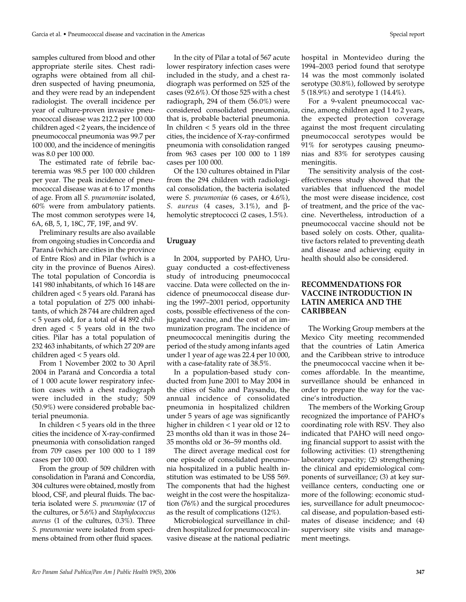samples cultured from blood and other appropriate sterile sites. Chest radiographs were obtained from all children suspected of having pneumonia, and they were read by an independent radiologist. The overall incidence per year of culture-proven invasive pneumococcal disease was 212.2 per 100 000 children aged < 2 years, the incidence of pneumococcal pneumonia was 99.7 per 100 000, and the incidence of meningitis was 8.0 per 100 000.

The estimated rate of febrile bacteremia was 98.5 per 100 000 children per year. The peak incidence of pneumococcal disease was at 6 to 17 months of age. From all *S. pneumoniae* isolated, 60% were from ambulatory patients. The most common serotypes were 14, 6A, 6B, 5, 1, 18C, 7F, 19F, and 9V.

Preliminary results are also available from ongoing studies in Concordia and Paraná (which are cities in the province of Entre Ríos) and in Pilar (which is a city in the province of Buenos Aires). The total population of Concordia is 141 980 inhabitants, of which 16 148 are children aged < 5 years old. Paraná has a total population of 275 000 inhabitants, of which 28 744 are children aged < 5 years old, for a total of 44 892 children aged  $< 5$  years old in the two cities. Pilar has a total population of 232 463 inhabitants, of which 27 209 are children aged < 5 years old.

From 1 November 2002 to 30 April 2004 in Paraná and Concordia a total of 1 000 acute lower respiratory infection cases with a chest radiograph were included in the study; 509 (50.9%) were considered probable bacterial pneumonia.

In children < 5 years old in the three cities the incidence of X-ray-confirmed pneumonia with consolidation ranged from 709 cases per 100 000 to 1 189 cases per 100 000.

From the group of 509 children with consolidation in Paraná and Concordia, 304 cultures were obtained, mostly from blood, CSF, and pleural fluids. The bacteria isolated were *S. pneumoniae* (17 of the cultures, or 5.6%) and *Staphylococcus aureus* (1 of the cultures, 0.3%). Three *S. pneumoniae* were isolated from specimens obtained from other fluid spaces.

In the city of Pilar a total of 567 acute lower respiratory infection cases were included in the study, and a chest radiograph was performed on 525 of the cases (92.6%). Of those 525 with a chest radiograph, 294 of them (56.0%) were considered consolidated pneumonia, that is, probable bacterial pneumonia. In children  $<$  5 years old in the three cities, the incidence of X-ray-confirmed pneumonia with consolidation ranged from 963 cases per 100 000 to 1 189 cases per 100 000.

Of the 130 cultures obtained in Pilar from the 294 children with radiological consolidation, the bacteria isolated were *S. pneumoniae* (6 cases, or 4.6%), *S. aureus* (4 cases, 3.1%), and βhemolytic streptococci (2 cases, 1.5%).

## **Uruguay**

In 2004, supported by PAHO, Uruguay conducted a cost-effectiveness study of introducing pneumococcal vaccine. Data were collected on the incidence of pneumococcal disease during the 1997–2001 period, opportunity costs, possible effectiveness of the conjugated vaccine, and the cost of an immunization program. The incidence of pneumococcal meningitis during the period of the study among infants aged under 1 year of age was 22.4 per 10 000, with a case-fatality rate of 38.5%.

In a population-based study conducted from June 2001 to May 2004 in the cities of Salto and Paysandu, the annual incidence of consolidated pneumonia in hospitalized children under 5 years of age was significantly higher in children < 1 year old or 12 to 23 months old than it was in those 24– 35 months old or 36–59 months old.

The direct average medical cost for one episode of consolidated pneumonia hospitalized in a public health institution was estimated to be US\$ 569. The components that had the highest weight in the cost were the hospitalization (76%) and the surgical procedures as the result of complications (12%).

Microbiological surveillance in children hospitalized for pneumococcal invasive disease at the national pediatric hospital in Montevideo during the 1994–2003 period found that serotype 14 was the most commonly isolated serotype (30.8%), followed by serotype 5 (18.9%) and serotype 1 (14.4%).

For a 9-valent pneumococcal vaccine, among children aged 1 to 2 years, the expected protection coverage against the most frequent circulating pneumococcal serotypes would be 91% for serotypes causing pneumonias and 83% for serotypes causing meningitis.

The sensitivity analysis of the costeffectiveness study showed that the variables that influenced the model the most were disease incidence, cost of treatment, and the price of the vaccine. Nevertheless, introduction of a pneumococcal vaccine should not be based solely on costs. Other, qualitative factors related to preventing death and disease and achieving equity in health should also be considered.

## **RECOMMENDATIONS FOR VACCINE INTRODUCTION IN LATIN AMERICA AND THE CARIBBEAN**

The Working Group members at the Mexico City meeting recommended that the countries of Latin America and the Caribbean strive to introduce the pneumococcal vaccine when it becomes affordable. In the meantime, surveillance should be enhanced in order to prepare the way for the vaccine's introduction.

The members of the Working Group recognized the importance of PAHO's coordinating role with RSV. They also indicated that PAHO will need ongoing financial support to assist with the following activities: (1) strengthening laboratory capacity; (2) strengthening the clinical and epidemiological components of surveillance; (3) at key surveillance centers, conducting one or more of the following: economic studies, surveillance for adult pneumococcal disease, and population-based estimates of disease incidence; and (4) supervisory site visits and management meetings.